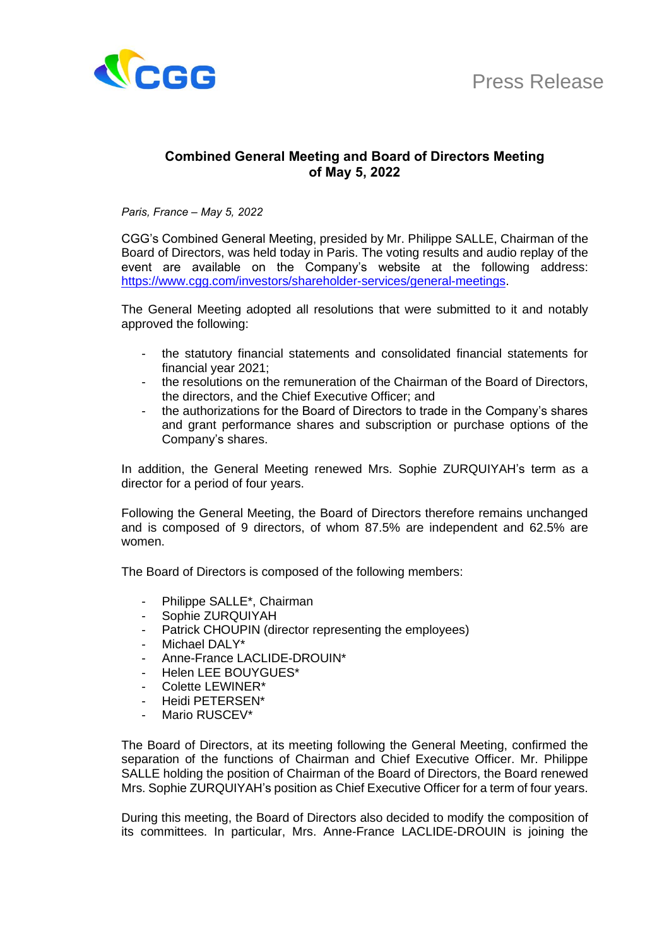

## **Combined General Meeting and Board of Directors Meeting of May 5, 2022**

*Paris, France – May 5, 2022*

CGG's Combined General Meeting, presided by Mr. Philippe SALLE, Chairman of the Board of Directors, was held today in Paris. The voting results and audio replay of the event are available on the Company's website at the following address: [https://www.cgg.com/investors/shareholder-services/general-meetings.](https://www.cgg.com/investors/shareholder-services/general-meetings)

The General Meeting adopted all resolutions that were submitted to it and notably approved the following:

- the statutory financial statements and consolidated financial statements for financial year 2021;
- the resolutions on the remuneration of the Chairman of the Board of Directors, the directors, and the Chief Executive Officer; and
- the authorizations for the Board of Directors to trade in the Company's shares and grant performance shares and subscription or purchase options of the Company's shares.

In addition, the General Meeting renewed Mrs. Sophie ZURQUIYAH's term as a director for a period of four years.

Following the General Meeting, the Board of Directors therefore remains unchanged and is composed of 9 directors, of whom 87.5% are independent and 62.5% are women.

The Board of Directors is composed of the following members:

- Philippe SALLE<sup>\*</sup>, Chairman
- Sophie ZURQUIYAH
- Patrick CHOUPIN (director representing the employees)
- Michael DALY\*
- Anne-France LACLIDE-DROUIN\*
- Helen LEE BOUYGUES\*
- Colette LEWINER\*
- Heidi PFTFRSFN\*
- Mario RUSCEV\*

The Board of Directors, at its meeting following the General Meeting, confirmed the separation of the functions of Chairman and Chief Executive Officer. Mr. Philippe SALLE holding the position of Chairman of the Board of Directors, the Board renewed Mrs. Sophie ZURQUIYAH's position as Chief Executive Officer for a term of four years.

During this meeting, the Board of Directors also decided to modify the composition of its committees. In particular, Mrs. Anne-France LACLIDE-DROUIN is joining the